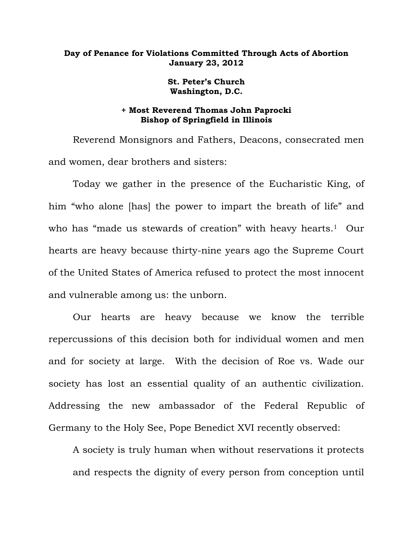## **Day of Penance for Violations Committed Through Acts of Abortion January 23, 2012**

**St. Peter's Church Washington, D.C.** 

## **+ Most Reverend Thomas John Paprocki Bishop of Springfield in Illinois**

 Reverend Monsignors and Fathers, Deacons, consecrated men and women, dear brothers and sisters:

 Today we gather in the presence of the Eucharistic King, of him "who alone [has] the power to impart the breath of life" and who has "made us stewards of creation" with heavy hearts.<sup>1</sup> Our hearts are heavy because thirty-nine years ago the Supreme Court of the United States of America refused to protect the most innocent and vulnerable among us: the unborn.

 Our hearts are heavy because we know the terrible repercussions of this decision both for individual women and men and for society at large. With the decision of Roe vs. Wade our society has lost an essential quality of an authentic civilization. Addressing the new ambassador of the Federal Republic of Germany to the Holy See, Pope Benedict XVI recently observed:

A society is truly human when without reservations it protects and respects the dignity of every person from conception until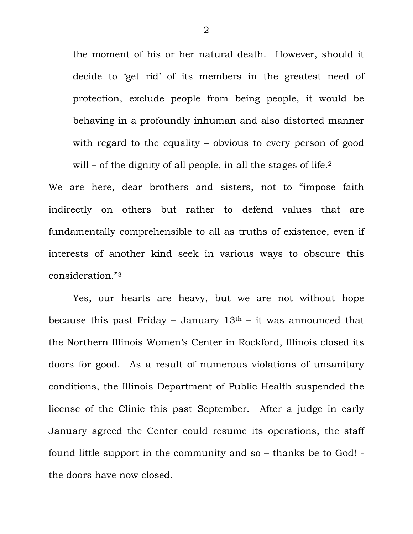the moment of his or her natural death. However, should it decide to 'get rid' of its members in the greatest need of protection, exclude people from being people, it would be behaving in a profoundly inhuman and also distorted manner with regard to the equality – obvious to every person of good will – of the dignity of all people, in all the stages of life. $2$ 

We are here, dear brothers and sisters, not to "impose faith indirectly on others but rather to defend values that are fundamentally comprehensible to all as truths of existence, even if interests of another kind seek in various ways to obscure this consideration."3

 Yes, our hearts are heavy, but we are not without hope because this past Friday – January  $13<sup>th</sup>$  – it was announced that the Northern Illinois Women's Center in Rockford, Illinois closed its doors for good. As a result of numerous violations of unsanitary conditions, the Illinois Department of Public Health suspended the license of the Clinic this past September. After a judge in early January agreed the Center could resume its operations, the staff found little support in the community and so – thanks be to God! the doors have now closed.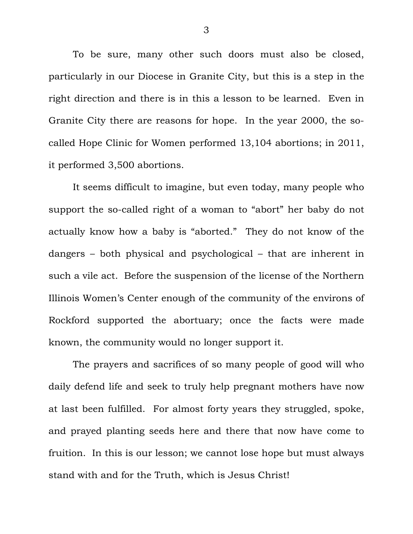To be sure, many other such doors must also be closed, particularly in our Diocese in Granite City, but this is a step in the right direction and there is in this a lesson to be learned. Even in Granite City there are reasons for hope. In the year 2000, the socalled Hope Clinic for Women performed 13,104 abortions; in 2011, it performed 3,500 abortions.

 It seems difficult to imagine, but even today, many people who support the so-called right of a woman to "abort" her baby do not actually know how a baby is "aborted." They do not know of the dangers – both physical and psychological – that are inherent in such a vile act. Before the suspension of the license of the Northern Illinois Women's Center enough of the community of the environs of Rockford supported the abortuary; once the facts were made known, the community would no longer support it.

 The prayers and sacrifices of so many people of good will who daily defend life and seek to truly help pregnant mothers have now at last been fulfilled. For almost forty years they struggled, spoke, and prayed planting seeds here and there that now have come to fruition. In this is our lesson; we cannot lose hope but must always stand with and for the Truth, which is Jesus Christ!

3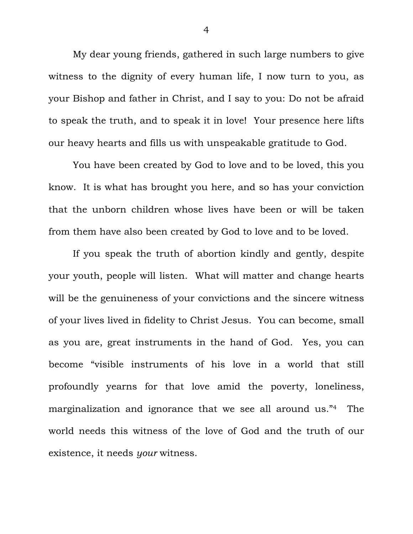My dear young friends, gathered in such large numbers to give witness to the dignity of every human life, I now turn to you, as your Bishop and father in Christ, and I say to you: Do not be afraid to speak the truth, and to speak it in love! Your presence here lifts our heavy hearts and fills us with unspeakable gratitude to God.

 You have been created by God to love and to be loved, this you know. It is what has brought you here, and so has your conviction that the unborn children whose lives have been or will be taken from them have also been created by God to love and to be loved.

 If you speak the truth of abortion kindly and gently, despite your youth, people will listen. What will matter and change hearts will be the genuineness of your convictions and the sincere witness of your lives lived in fidelity to Christ Jesus. You can become, small as you are, great instruments in the hand of God. Yes, you can become "visible instruments of his love in a world that still profoundly yearns for that love amid the poverty, loneliness, marginalization and ignorance that we see all around us."4 The world needs this witness of the love of God and the truth of our existence, it needs *your* witness.